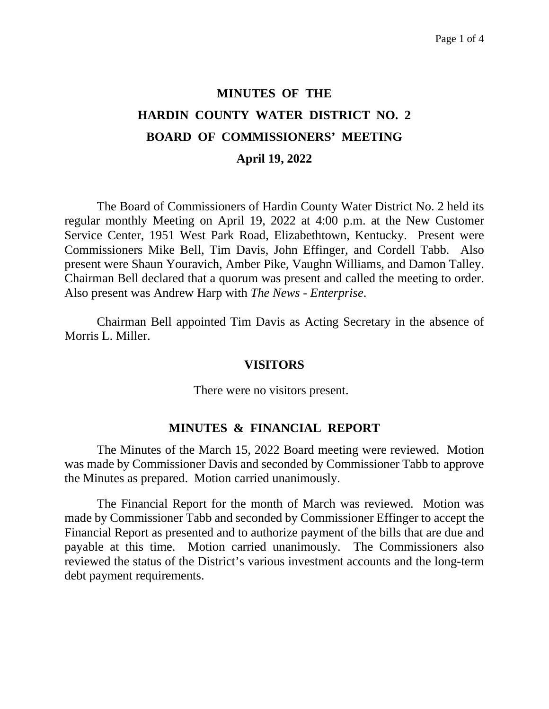# **MINUTES OF THE HARDIN COUNTY WATER DISTRICT NO. 2 BOARD OF COMMISSIONERS' MEETING April 19, 2022**

The Board of Commissioners of Hardin County Water District No. 2 held its regular monthly Meeting on April 19, 2022 at 4:00 p.m. at the New Customer Service Center, 1951 West Park Road, Elizabethtown, Kentucky. Present were Commissioners Mike Bell, Tim Davis, John Effinger, and Cordell Tabb. Also present were Shaun Youravich, Amber Pike, Vaughn Williams, and Damon Talley. Chairman Bell declared that a quorum was present and called the meeting to order. Also present was Andrew Harp with *The News - Enterprise*.

Chairman Bell appointed Tim Davis as Acting Secretary in the absence of Morris L. Miller.

#### **VISITORS**

There were no visitors present.

#### **MINUTES & FINANCIAL REPORT**

The Minutes of the March 15, 2022 Board meeting were reviewed. Motion was made by Commissioner Davis and seconded by Commissioner Tabb to approve the Minutes as prepared. Motion carried unanimously.

The Financial Report for the month of March was reviewed. Motion was made by Commissioner Tabb and seconded by Commissioner Effinger to accept the Financial Report as presented and to authorize payment of the bills that are due and payable at this time. Motion carried unanimously. The Commissioners also reviewed the status of the District's various investment accounts and the long-term debt payment requirements.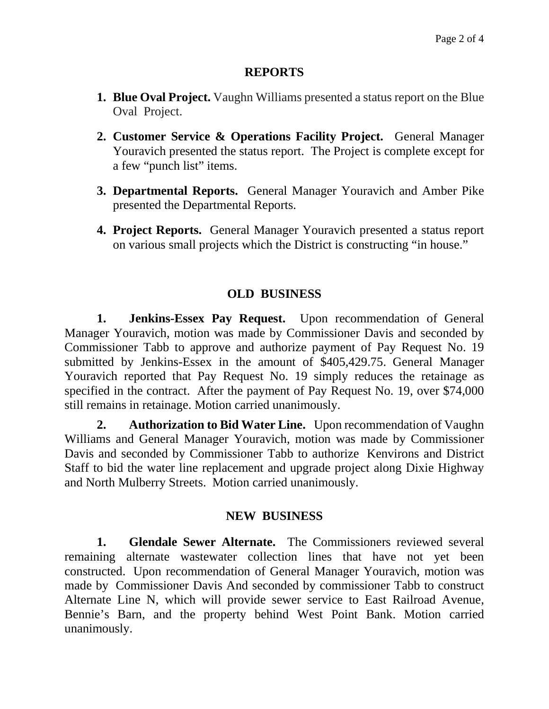### **REPORTS**

- **1. Blue Oval Project.** Vaughn Williams presented a status report on the Blue Oval Project.
- **2. Customer Service & Operations Facility Project.** General Manager Youravich presented the status report. The Project is complete except for a few "punch list" items.
- **3. Departmental Reports.** General Manager Youravich and Amber Pike presented the Departmental Reports.
- **4. Project Reports.** General Manager Youravich presented a status report on various small projects which the District is constructing "in house."

## **OLD BUSINESS**

**1. Jenkins-Essex Pay Request.** Upon recommendation of General Manager Youravich, motion was made by Commissioner Davis and seconded by Commissioner Tabb to approve and authorize payment of Pay Request No. 19 submitted by Jenkins-Essex in the amount of \$405,429.75. General Manager Youravich reported that Pay Request No. 19 simply reduces the retainage as specified in the contract. After the payment of Pay Request No. 19, over \$74,000 still remains in retainage. Motion carried unanimously.

**2. Authorization to Bid Water Line.** Upon recommendation of Vaughn Williams and General Manager Youravich, motion was made by Commissioner Davis and seconded by Commissioner Tabb to authorize Kenvirons and District Staff to bid the water line replacement and upgrade project along Dixie Highway and North Mulberry Streets. Motion carried unanimously.

## **NEW BUSINESS**

**1. Glendale Sewer Alternate.** The Commissioners reviewed several remaining alternate wastewater collection lines that have not yet been constructed. Upon recommendation of General Manager Youravich, motion was made by Commissioner Davis And seconded by commissioner Tabb to construct Alternate Line N, which will provide sewer service to East Railroad Avenue, Bennie's Barn, and the property behind West Point Bank. Motion carried unanimously.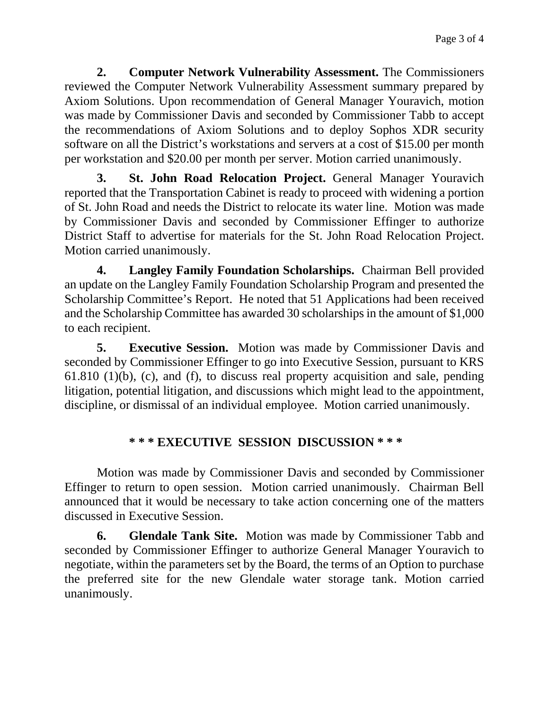**2. Computer Network Vulnerability Assessment.** The Commissioners reviewed the Computer Network Vulnerability Assessment summary prepared by Axiom Solutions. Upon recommendation of General Manager Youravich, motion was made by Commissioner Davis and seconded by Commissioner Tabb to accept the recommendations of Axiom Solutions and to deploy Sophos XDR security software on all the District's workstations and servers at a cost of \$15.00 per month per workstation and \$20.00 per month per server. Motion carried unanimously.

**3. St. John Road Relocation Project.** General Manager Youravich reported that the Transportation Cabinet is ready to proceed with widening a portion of St. John Road and needs the District to relocate its water line. Motion was made by Commissioner Davis and seconded by Commissioner Effinger to authorize District Staff to advertise for materials for the St. John Road Relocation Project. Motion carried unanimously.

**4. Langley Family Foundation Scholarships.** Chairman Bell provided an update on the Langley Family Foundation Scholarship Program and presented the Scholarship Committee's Report. He noted that 51 Applications had been received and the Scholarship Committee has awarded 30 scholarships in the amount of \$1,000 to each recipient.

**5. Executive Session.** Motion was made by Commissioner Davis and seconded by Commissioner Effinger to go into Executive Session, pursuant to KRS 61.810 (1)(b), (c), and (f), to discuss real property acquisition and sale, pending litigation, potential litigation, and discussions which might lead to the appointment, discipline, or dismissal of an individual employee. Motion carried unanimously.

## **\* \* \* EXECUTIVE SESSION DISCUSSION \* \* \***

Motion was made by Commissioner Davis and seconded by Commissioner Effinger to return to open session. Motion carried unanimously. Chairman Bell announced that it would be necessary to take action concerning one of the matters discussed in Executive Session.

**6. Glendale Tank Site.** Motion was made by Commissioner Tabb and seconded by Commissioner Effinger to authorize General Manager Youravich to negotiate, within the parameters set by the Board, the terms of an Option to purchase the preferred site for the new Glendale water storage tank. Motion carried unanimously.